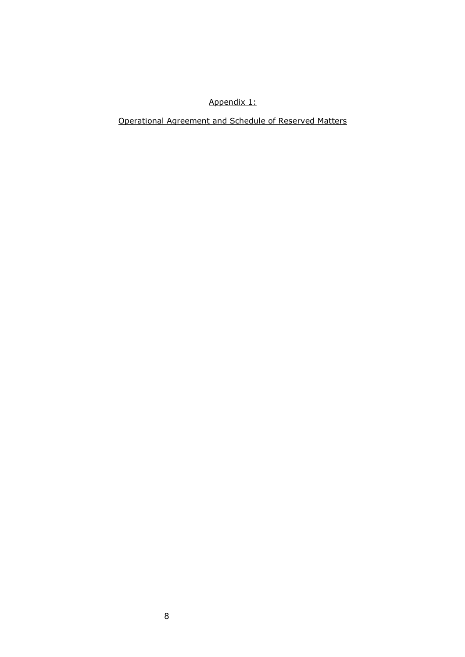#### Appendix 1:

Operational Agreement and Schedule of Reserved Matters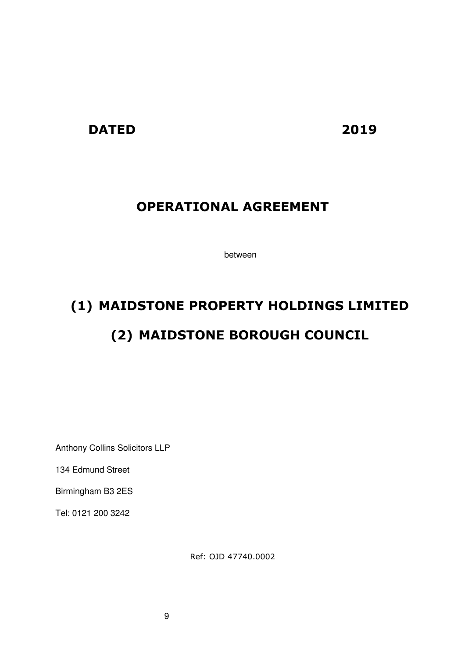## **DATED 2019**

# **OPERATIONAL AGREEMENT**

between

# **(1) MAIDSTONE PROPERTY HOLDINGS LIMITED (2) MAIDSTONE BOROUGH COUNCIL**

Anthony Collins Solicitors LLP

134 Edmund Street

Birmingham B3 2ES

Tel: 0121 200 3242

Ref: OJD 47740.0002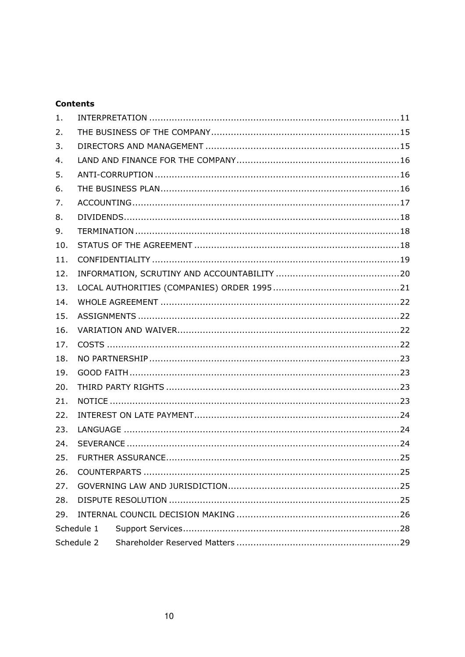#### **Contents**

| 1.  |            |  |  |  |  |
|-----|------------|--|--|--|--|
| 2.  |            |  |  |  |  |
| 3.  |            |  |  |  |  |
| 4.  |            |  |  |  |  |
| 5.  |            |  |  |  |  |
| 6.  |            |  |  |  |  |
| 7.  |            |  |  |  |  |
| 8.  |            |  |  |  |  |
| 9.  |            |  |  |  |  |
| 10. |            |  |  |  |  |
| 11. |            |  |  |  |  |
| 12. |            |  |  |  |  |
| 13. |            |  |  |  |  |
| 14. |            |  |  |  |  |
| 15. |            |  |  |  |  |
| 16. |            |  |  |  |  |
| 17. |            |  |  |  |  |
| 18. |            |  |  |  |  |
| 19. |            |  |  |  |  |
| 20. |            |  |  |  |  |
| 21. |            |  |  |  |  |
| 22. |            |  |  |  |  |
| 23. |            |  |  |  |  |
| 24. |            |  |  |  |  |
| 25. |            |  |  |  |  |
| 26. |            |  |  |  |  |
| 27. |            |  |  |  |  |
| 28. |            |  |  |  |  |
| 29. |            |  |  |  |  |
|     | Schedule 1 |  |  |  |  |
|     | Schedule 2 |  |  |  |  |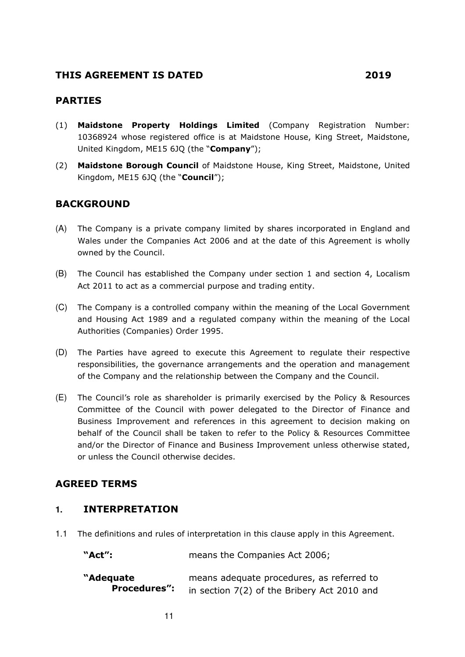#### **THIS AGREEMENT IS DATED 2019**

#### **PARTIES**

- (1) **Maidstone Property Holdings Limited** (Company Registration Number: 10368924 whose registered office is at Maidstone House, King Street, Maidstone, United Kingdom, ME15 6JQ (the "**Company**");
- (2) **Maidstone Borough Council** of Maidstone House, King Street, Maidstone, United Kingdom, ME15 6JQ (the "**Council**");

#### **BACKGROUND**

- (A) The Company is a private company limited by shares incorporated in England and Wales under the Companies Act 2006 and at the date of this Agreement is wholly owned by the Council.
- (B) The Council has established the Company under section 1 and section 4, Localism Act 2011 to act as a commercial purpose and trading entity.
- (C) The Company is a controlled company within the meaning of the Local Government and Housing Act 1989 and a regulated company within the meaning of the Local Authorities (Companies) Order 1995.
- (D) The Parties have agreed to execute this Agreement to regulate their respective responsibilities, the governance arrangements and the operation and management of the Company and the relationship between the Company and the Council.
- (E) The Council's role as shareholder is primarily exercised by the Policy & Resources Committee of the Council with power delegated to the Director of Finance and Business Improvement and references in this agreement to decision making on behalf of the Council shall be taken to refer to the Policy & Resources Committee and/or the Director of Finance and Business Improvement unless otherwise stated, or unless the Council otherwise decides.

#### **AGREED TERMS**

#### **1. INTERPRETATION**

1.1 The definitions and rules of interpretation in this clause apply in this Agreement.

**"Act":** means the Companies Act 2006;

| .                   | $11120110$ case consequence $1100$          |
|---------------------|---------------------------------------------|
| "Adequate           | means adequate procedures, as referred to   |
| <b>Procedures":</b> | in section 7(2) of the Bribery Act 2010 and |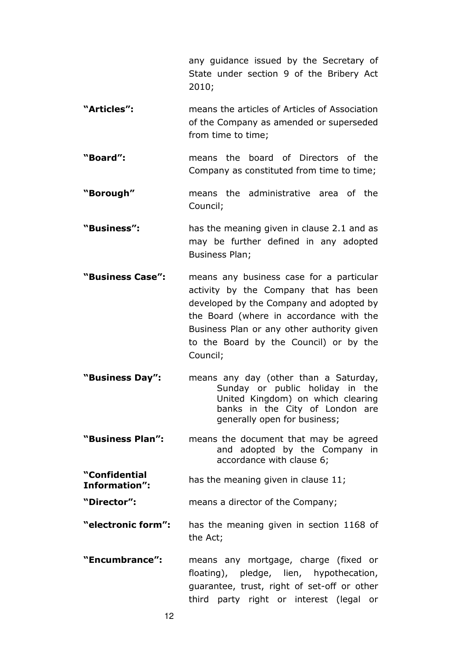any guidance issued by the Secretary of State under section 9 of the Bribery Act 2010;

- **"Articles":** means the articles of Articles of Association of the Company as amended or superseded from time to time;
- **"Board":** means the board of Directors of the Company as constituted from time to time;
- **"Borough"** means the administrative area of the Council;
- **"Business":** has the meaning given in clause 2.1 and as may be further defined in any adopted Business Plan;
- **"Business Case":** means any business case for a particular activity by the Company that has been developed by the Company and adopted by the Board (where in accordance with the Business Plan or any other authority given to the Board by the Council) or by the Council;
- **"Business Day":** means any day (other than a Saturday, Sunday or public holiday in the United Kingdom) on which clearing banks in the City of London are generally open for business;
- **"Business Plan":** means the document that may be agreed and adopted by the Company in accordance with clause 6;
- **"Confidential Information":** has the meaning given in clause 11;
- **"Director":** means a director of the Company;
- **"electronic form":** has the meaning given in section 1168 of the Act;
- **"Encumbrance":** means any mortgage, charge (fixed or floating), pledge, lien, hypothecation, guarantee, trust, right of set-off or other third party right or interest (legal or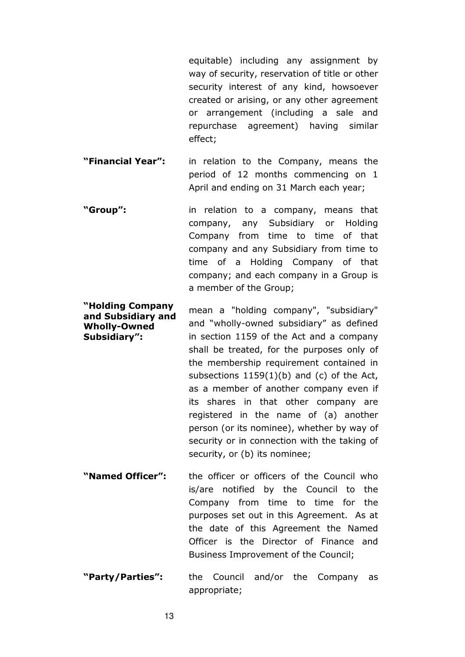equitable) including any assignment by way of security, reservation of title or other security interest of any kind, howsoever created or arising, or any other agreement or arrangement (including a sale and repurchase agreement) having similar effect;

- **"Financial Year":** in relation to the Company, means the period of 12 months commencing on 1 April and ending on 31 March each year;
- **"Group":** in relation to a company, means that company, any Subsidiary or Holding Company from time to time of that company and any Subsidiary from time to time of a Holding Company of that company; and each company in a Group is a member of the Group;
- **"Holding Company and Subsidiary and Wholly-Owned Subsidiary":**  mean a "holding company", "subsidiary" and "wholly-owned subsidiary" as defined in section 1159 of the Act and a company shall be treated, for the purposes only of the membership requirement contained in subsections  $1159(1)(b)$  and (c) of the Act, as a member of another company even if its shares in that other company are registered in the name of (a) another person (or its nominee), whether by way of security or in connection with the taking of security, or (b) its nominee;
- **"Named Officer":** the officer or officers of the Council who is/are notified by the Council to the Company from time to time for the purposes set out in this Agreement. As at the date of this Agreement the Named Officer is the Director of Finance and Business Improvement of the Council;
- **"Party/Parties":** the Council and/or the Company as appropriate;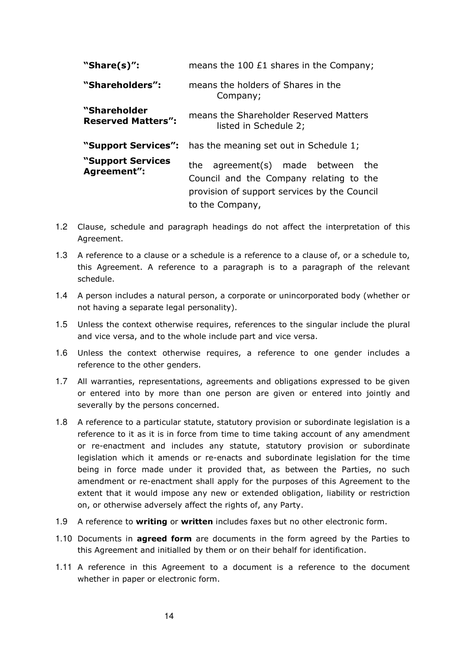| "Share $(s)$ ":                           | means the 100 £1 shares in the Company;                                                                                                                |  |
|-------------------------------------------|--------------------------------------------------------------------------------------------------------------------------------------------------------|--|
| "Shareholders":                           | means the holders of Shares in the<br>Company;                                                                                                         |  |
| "Shareholder<br><b>Reserved Matters":</b> | means the Shareholder Reserved Matters<br>listed in Schedule 2;                                                                                        |  |
| "Support Services":                       | has the meaning set out in Schedule 1;                                                                                                                 |  |
| "Support Services"<br>Agreement":         | agreement(s) made between<br>the.<br>the<br>Council and the Company relating to the<br>provision of support services by the Council<br>to the Company, |  |

- 1.2 Clause, schedule and paragraph headings do not affect the interpretation of this Agreement.
- 1.3 A reference to a clause or a schedule is a reference to a clause of, or a schedule to, this Agreement. A reference to a paragraph is to a paragraph of the relevant schedule.
- 1.4 A person includes a natural person, a corporate or unincorporated body (whether or not having a separate legal personality).
- 1.5 Unless the context otherwise requires, references to the singular include the plural and vice versa, and to the whole include part and vice versa.
- 1.6 Unless the context otherwise requires, a reference to one gender includes a reference to the other genders.
- 1.7 All warranties, representations, agreements and obligations expressed to be given or entered into by more than one person are given or entered into jointly and severally by the persons concerned.
- 1.8 A reference to a particular statute, statutory provision or subordinate legislation is a reference to it as it is in force from time to time taking account of any amendment or re-enactment and includes any statute, statutory provision or subordinate legislation which it amends or re-enacts and subordinate legislation for the time being in force made under it provided that, as between the Parties, no such amendment or re-enactment shall apply for the purposes of this Agreement to the extent that it would impose any new or extended obligation, liability or restriction on, or otherwise adversely affect the rights of, any Party.
- 1.9 A reference to **writing** or **written** includes faxes but no other electronic form.
- 1.10 Documents in **agreed form** are documents in the form agreed by the Parties to this Agreement and initialled by them or on their behalf for identification.
- 1.11 A reference in this Agreement to a document is a reference to the document whether in paper or electronic form.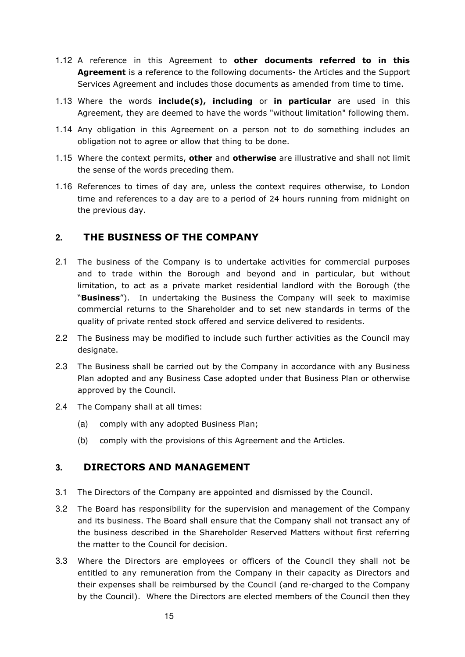- 1.12 A reference in this Agreement to **other documents referred to in this Agreement** is a reference to the following documents- the Articles and the Support Services Agreement and includes those documents as amended from time to time.
- 1.13 Where the words **include(s), including** or **in particular** are used in this Agreement, they are deemed to have the words "without limitation" following them.
- 1.14 Any obligation in this Agreement on a person not to do something includes an obligation not to agree or allow that thing to be done.
- 1.15 Where the context permits, **other** and **otherwise** are illustrative and shall not limit the sense of the words preceding them.
- 1.16 References to times of day are, unless the context requires otherwise, to London time and references to a day are to a period of 24 hours running from midnight on the previous day.

#### **2. THE BUSINESS OF THE COMPANY**

- 2.1 The business of the Company is to undertake activities for commercial purposes and to trade within the Borough and beyond and in particular, but without limitation, to act as a private market residential landlord with the Borough (the "**Business**"). In undertaking the Business the Company will seek to maximise commercial returns to the Shareholder and to set new standards in terms of the quality of private rented stock offered and service delivered to residents.
- 2.2 The Business may be modified to include such further activities as the Council may designate.
- 2.3 The Business shall be carried out by the Company in accordance with any Business Plan adopted and any Business Case adopted under that Business Plan or otherwise approved by the Council.
- 2.4 The Company shall at all times:
	- (a) comply with any adopted Business Plan;
	- (b) comply with the provisions of this Agreement and the Articles.

#### **3. DIRECTORS AND MANAGEMENT**

- 3.1 The Directors of the Company are appointed and dismissed by the Council.
- 3.2 The Board has responsibility for the supervision and management of the Company and its business. The Board shall ensure that the Company shall not transact any of the business described in the Shareholder Reserved Matters without first referring the matter to the Council for decision.
- 3.3 Where the Directors are employees or officers of the Council they shall not be entitled to any remuneration from the Company in their capacity as Directors and their expenses shall be reimbursed by the Council (and re-charged to the Company by the Council). Where the Directors are elected members of the Council then they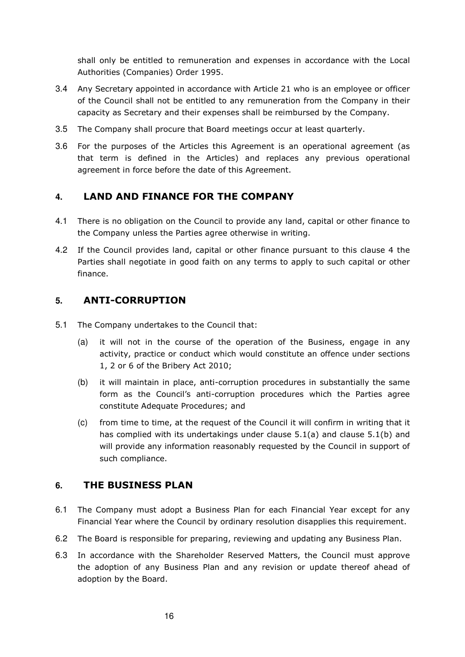shall only be entitled to remuneration and expenses in accordance with the Local Authorities (Companies) Order 1995.

- 3.4 Any Secretary appointed in accordance with Article 21 who is an employee or officer of the Council shall not be entitled to any remuneration from the Company in their capacity as Secretary and their expenses shall be reimbursed by the Company.
- 3.5 The Company shall procure that Board meetings occur at least quarterly.
- 3.6 For the purposes of the Articles this Agreement is an operational agreement (as that term is defined in the Articles) and replaces any previous operational agreement in force before the date of this Agreement.

#### **4. LAND AND FINANCE FOR THE COMPANY**

- 4.1 There is no obligation on the Council to provide any land, capital or other finance to the Company unless the Parties agree otherwise in writing.
- 4.2 If the Council provides land, capital or other finance pursuant to this clause 4 the Parties shall negotiate in good faith on any terms to apply to such capital or other finance.

#### **5. ANTI-CORRUPTION**

- 5.1 The Company undertakes to the Council that:
	- (a) it will not in the course of the operation of the Business, engage in any activity, practice or conduct which would constitute an offence under sections 1, 2 or 6 of the Bribery Act 2010;
	- (b) it will maintain in place, anti-corruption procedures in substantially the same form as the Council's anti-corruption procedures which the Parties agree constitute Adequate Procedures; and
	- (c) from time to time, at the request of the Council it will confirm in writing that it has complied with its undertakings under clause 5.1(a) and clause 5.1(b) and will provide any information reasonably requested by the Council in support of such compliance.

#### **6. THE BUSINESS PLAN**

- 6.1 The Company must adopt a Business Plan for each Financial Year except for any Financial Year where the Council by ordinary resolution disapplies this requirement.
- 6.2 The Board is responsible for preparing, reviewing and updating any Business Plan.
- 6.3 In accordance with the Shareholder Reserved Matters, the Council must approve the adoption of any Business Plan and any revision or update thereof ahead of adoption by the Board.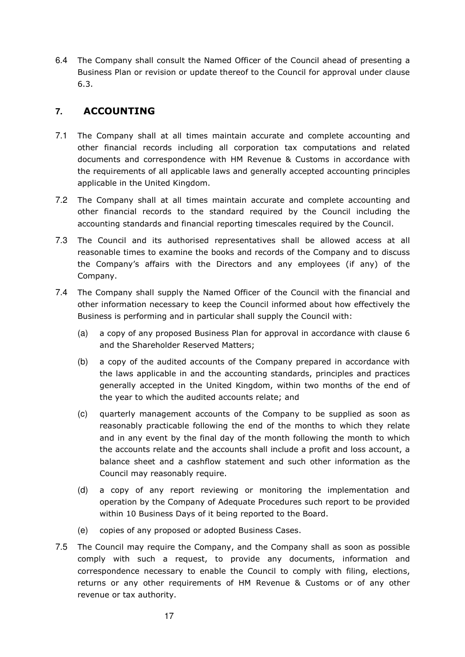6.4 The Company shall consult the Named Officer of the Council ahead of presenting a Business Plan or revision or update thereof to the Council for approval under clause 6.3.

#### **7. ACCOUNTING**

- 7.1 The Company shall at all times maintain accurate and complete accounting and other financial records including all corporation tax computations and related documents and correspondence with HM Revenue & Customs in accordance with the requirements of all applicable laws and generally accepted accounting principles applicable in the United Kingdom.
- 7.2 The Company shall at all times maintain accurate and complete accounting and other financial records to the standard required by the Council including the accounting standards and financial reporting timescales required by the Council.
- 7.3 The Council and its authorised representatives shall be allowed access at all reasonable times to examine the books and records of the Company and to discuss the Company's affairs with the Directors and any employees (if any) of the Company.
- 7.4 The Company shall supply the Named Officer of the Council with the financial and other information necessary to keep the Council informed about how effectively the Business is performing and in particular shall supply the Council with:
	- (a) a copy of any proposed Business Plan for approval in accordance with clause 6 and the Shareholder Reserved Matters;
	- (b) a copy of the audited accounts of the Company prepared in accordance with the laws applicable in and the accounting standards, principles and practices generally accepted in the United Kingdom, within two months of the end of the year to which the audited accounts relate; and
	- (c) quarterly management accounts of the Company to be supplied as soon as reasonably practicable following the end of the months to which they relate and in any event by the final day of the month following the month to which the accounts relate and the accounts shall include a profit and loss account, a balance sheet and a cashflow statement and such other information as the Council may reasonably require.
	- (d) a copy of any report reviewing or monitoring the implementation and operation by the Company of Adequate Procedures such report to be provided within 10 Business Days of it being reported to the Board.
	- (e) copies of any proposed or adopted Business Cases.
- 7.5 The Council may require the Company, and the Company shall as soon as possible comply with such a request, to provide any documents, information and correspondence necessary to enable the Council to comply with filing, elections, returns or any other requirements of HM Revenue & Customs or of any other revenue or tax authority.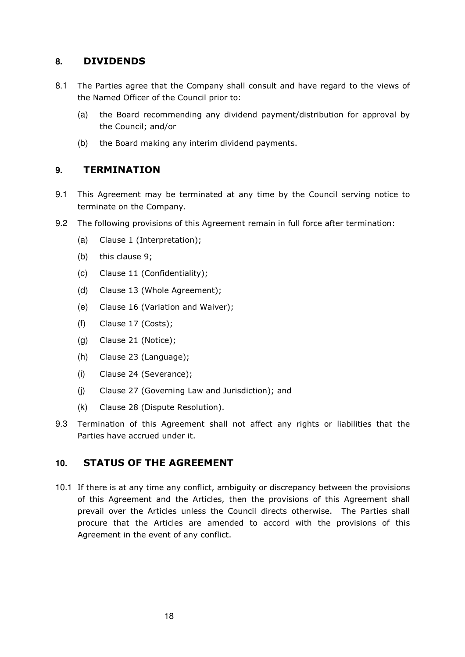#### **8. DIVIDENDS**

- 8.1 The Parties agree that the Company shall consult and have regard to the views of the Named Officer of the Council prior to:
	- (a) the Board recommending any dividend payment/distribution for approval by the Council; and/or
	- (b) the Board making any interim dividend payments.

#### **9. TERMINATION**

- 9.1 This Agreement may be terminated at any time by the Council serving notice to terminate on the Company.
- 9.2 The following provisions of this Agreement remain in full force after termination:
	- (a) Clause 1 (Interpretation);
	- (b) this clause 9;
	- (c) Clause 11 (Confidentiality);
	- (d) Clause 13 (Whole Agreement);
	- (e) Clause 16 (Variation and Waiver);
	- (f) Clause 17 (Costs);
	- (g) Clause 21 (Notice);
	- (h) Clause 23 (Language);
	- (i) Clause 24 (Severance);
	- (j) Clause 27 (Governing Law and Jurisdiction); and
	- (k) Clause 28 (Dispute Resolution).
- 9.3 Termination of this Agreement shall not affect any rights or liabilities that the Parties have accrued under it.

#### **10. STATUS OF THE AGREEMENT**

10.1 If there is at any time any conflict, ambiguity or discrepancy between the provisions of this Agreement and the Articles, then the provisions of this Agreement shall prevail over the Articles unless the Council directs otherwise. The Parties shall procure that the Articles are amended to accord with the provisions of this Agreement in the event of any conflict.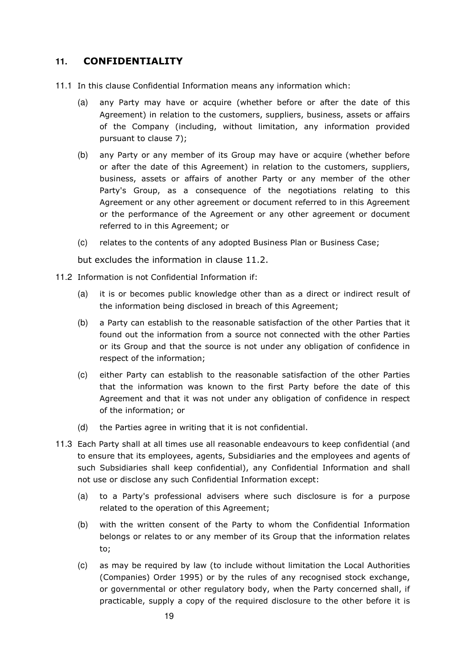#### **11. CONFIDENTIALITY**

- 11.1 In this clause Confidential Information means any information which:
	- (a) any Party may have or acquire (whether before or after the date of this Agreement) in relation to the customers, suppliers, business, assets or affairs of the Company (including, without limitation, any information provided pursuant to clause 7);
	- (b) any Party or any member of its Group may have or acquire (whether before or after the date of this Agreement) in relation to the customers, suppliers, business, assets or affairs of another Party or any member of the other Party's Group, as a consequence of the negotiations relating to this Agreement or any other agreement or document referred to in this Agreement or the performance of the Agreement or any other agreement or document referred to in this Agreement; or
	- (c) relates to the contents of any adopted Business Plan or Business Case;

but excludes the information in clause 11.2.

- 11.2 Information is not Confidential Information if:
	- (a) it is or becomes public knowledge other than as a direct or indirect result of the information being disclosed in breach of this Agreement;
	- (b) a Party can establish to the reasonable satisfaction of the other Parties that it found out the information from a source not connected with the other Parties or its Group and that the source is not under any obligation of confidence in respect of the information;
	- (c) either Party can establish to the reasonable satisfaction of the other Parties that the information was known to the first Party before the date of this Agreement and that it was not under any obligation of confidence in respect of the information; or
	- (d) the Parties agree in writing that it is not confidential.
- 11.3 Each Party shall at all times use all reasonable endeavours to keep confidential (and to ensure that its employees, agents, Subsidiaries and the employees and agents of such Subsidiaries shall keep confidential), any Confidential Information and shall not use or disclose any such Confidential Information except:
	- (a) to a Party's professional advisers where such disclosure is for a purpose related to the operation of this Agreement;
	- (b) with the written consent of the Party to whom the Confidential Information belongs or relates to or any member of its Group that the information relates to;
	- (c) as may be required by law (to include without limitation the Local Authorities (Companies) Order 1995) or by the rules of any recognised stock exchange, or governmental or other regulatory body, when the Party concerned shall, if practicable, supply a copy of the required disclosure to the other before it is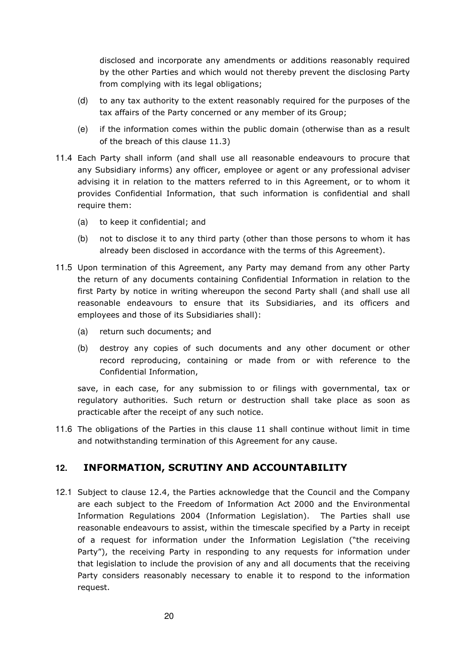disclosed and incorporate any amendments or additions reasonably required by the other Parties and which would not thereby prevent the disclosing Party from complying with its legal obligations;

- (d) to any tax authority to the extent reasonably required for the purposes of the tax affairs of the Party concerned or any member of its Group;
- (e) if the information comes within the public domain (otherwise than as a result of the breach of this clause 11.3)
- 11.4 Each Party shall inform (and shall use all reasonable endeavours to procure that any Subsidiary informs) any officer, employee or agent or any professional adviser advising it in relation to the matters referred to in this Agreement, or to whom it provides Confidential Information, that such information is confidential and shall require them:
	- (a) to keep it confidential; and
	- (b) not to disclose it to any third party (other than those persons to whom it has already been disclosed in accordance with the terms of this Agreement).
- 11.5 Upon termination of this Agreement, any Party may demand from any other Party the return of any documents containing Confidential Information in relation to the first Party by notice in writing whereupon the second Party shall (and shall use all reasonable endeavours to ensure that its Subsidiaries, and its officers and employees and those of its Subsidiaries shall):
	- (a) return such documents; and
	- (b) destroy any copies of such documents and any other document or other record reproducing, containing or made from or with reference to the Confidential Information,

save, in each case, for any submission to or filings with governmental, tax or regulatory authorities. Such return or destruction shall take place as soon as practicable after the receipt of any such notice.

11.6 The obligations of the Parties in this clause 11 shall continue without limit in time and notwithstanding termination of this Agreement for any cause.

### **12. INFORMATION, SCRUTINY AND ACCOUNTABILITY**

12.1 Subject to clause 12.4, the Parties acknowledge that the Council and the Company are each subject to the Freedom of Information Act 2000 and the Environmental Information Regulations 2004 (Information Legislation). The Parties shall use reasonable endeavours to assist, within the timescale specified by a Party in receipt of a request for information under the Information Legislation ("the receiving Party"), the receiving Party in responding to any requests for information under that legislation to include the provision of any and all documents that the receiving Party considers reasonably necessary to enable it to respond to the information request.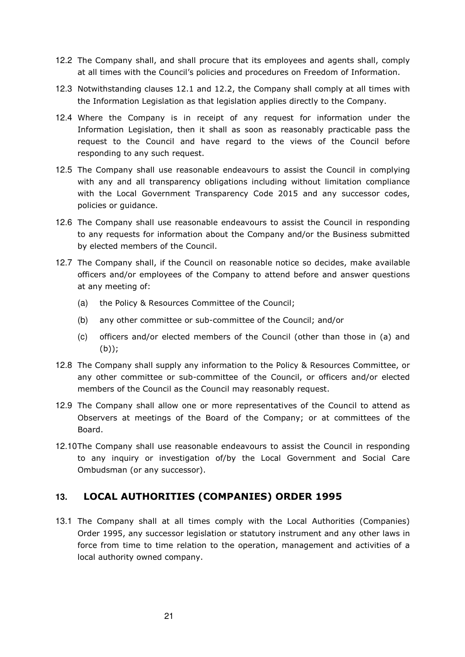- 12.2 The Company shall, and shall procure that its employees and agents shall, comply at all times with the Council's policies and procedures on Freedom of Information.
- 12.3 Notwithstanding clauses 12.1 and 12.2, the Company shall comply at all times with the Information Legislation as that legislation applies directly to the Company.
- 12.4 Where the Company is in receipt of any request for information under the Information Legislation, then it shall as soon as reasonably practicable pass the request to the Council and have regard to the views of the Council before responding to any such request.
- 12.5 The Company shall use reasonable endeavours to assist the Council in complying with any and all transparency obligations including without limitation compliance with the Local Government Transparency Code 2015 and any successor codes, policies or guidance.
- 12.6 The Company shall use reasonable endeavours to assist the Council in responding to any requests for information about the Company and/or the Business submitted by elected members of the Council.
- 12.7 The Company shall, if the Council on reasonable notice so decides, make available officers and/or employees of the Company to attend before and answer questions at any meeting of:
	- (a) the Policy & Resources Committee of the Council;
	- (b) any other committee or sub-committee of the Council; and/or
	- (c) officers and/or elected members of the Council (other than those in (a) and (b));
- 12.8 The Company shall supply any information to the Policy & Resources Committee, or any other committee or sub-committee of the Council, or officers and/or elected members of the Council as the Council may reasonably request.
- 12.9 The Company shall allow one or more representatives of the Council to attend as Observers at meetings of the Board of the Company; or at committees of the Board.
- 12.10 The Company shall use reasonable endeavours to assist the Council in responding to any inquiry or investigation of/by the Local Government and Social Care Ombudsman (or any successor).

#### **13. LOCAL AUTHORITIES (COMPANIES) ORDER 1995**

13.1 The Company shall at all times comply with the Local Authorities (Companies) Order 1995, any successor legislation or statutory instrument and any other laws in force from time to time relation to the operation, management and activities of a local authority owned company.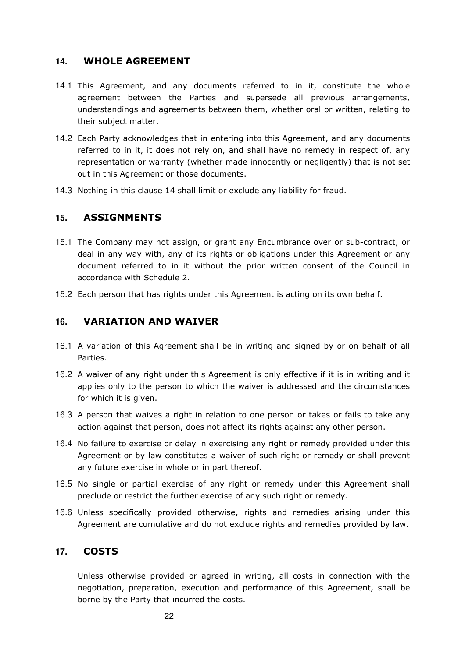#### **14. WHOLE AGREEMENT**

- 14.1 This Agreement, and any documents referred to in it, constitute the whole agreement between the Parties and supersede all previous arrangements, understandings and agreements between them, whether oral or written, relating to their subject matter.
- 14.2 Each Party acknowledges that in entering into this Agreement, and any documents referred to in it, it does not rely on, and shall have no remedy in respect of, any representation or warranty (whether made innocently or negligently) that is not set out in this Agreement or those documents.
- 14.3 Nothing in this clause 14 shall limit or exclude any liability for fraud.

#### **15. ASSIGNMENTS**

- 15.1 The Company may not assign, or grant any Encumbrance over or sub-contract, or deal in any way with, any of its rights or obligations under this Agreement or any document referred to in it without the prior written consent of the Council in accordance with Schedule 2.
- 15.2 Each person that has rights under this Agreement is acting on its own behalf.

#### **16. VARIATION AND WAIVER**

- 16.1 A variation of this Agreement shall be in writing and signed by or on behalf of all Parties.
- 16.2 A waiver of any right under this Agreement is only effective if it is in writing and it applies only to the person to which the waiver is addressed and the circumstances for which it is given.
- 16.3 A person that waives a right in relation to one person or takes or fails to take any action against that person, does not affect its rights against any other person.
- 16.4 No failure to exercise or delay in exercising any right or remedy provided under this Agreement or by law constitutes a waiver of such right or remedy or shall prevent any future exercise in whole or in part thereof.
- 16.5 No single or partial exercise of any right or remedy under this Agreement shall preclude or restrict the further exercise of any such right or remedy.
- 16.6 Unless specifically provided otherwise, rights and remedies arising under this Agreement are cumulative and do not exclude rights and remedies provided by law.

#### **17. COSTS**

Unless otherwise provided or agreed in writing, all costs in connection with the negotiation, preparation, execution and performance of this Agreement, shall be borne by the Party that incurred the costs.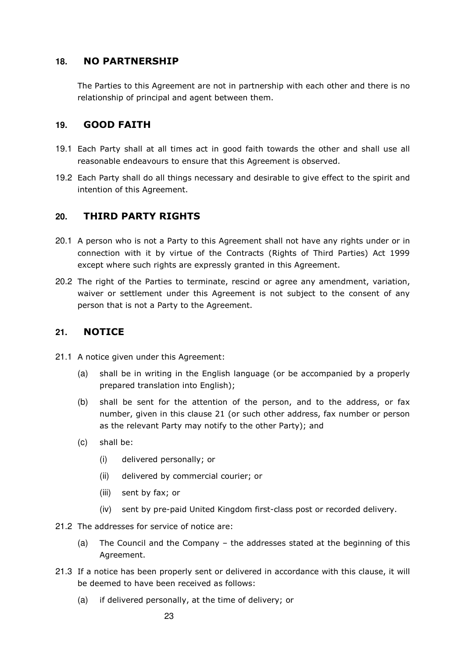#### **18. NO PARTNERSHIP**

The Parties to this Agreement are not in partnership with each other and there is no relationship of principal and agent between them.

#### **19. GOOD FAITH**

- 19.1 Each Party shall at all times act in good faith towards the other and shall use all reasonable endeavours to ensure that this Agreement is observed.
- 19.2 Each Party shall do all things necessary and desirable to give effect to the spirit and intention of this Agreement.

#### **20. THIRD PARTY RIGHTS**

- 20.1 A person who is not a Party to this Agreement shall not have any rights under or in connection with it by virtue of the Contracts (Rights of Third Parties) Act 1999 except where such rights are expressly granted in this Agreement.
- 20.2 The right of the Parties to terminate, rescind or agree any amendment, variation, waiver or settlement under this Agreement is not subject to the consent of any person that is not a Party to the Agreement.

#### **21. NOTICE**

- 21.1 A notice given under this Agreement:
	- (a) shall be in writing in the English language (or be accompanied by a properly prepared translation into English);
	- (b) shall be sent for the attention of the person, and to the address, or fax number, given in this clause 21 (or such other address, fax number or person as the relevant Party may notify to the other Party); and
	- (c) shall be:
		- (i) delivered personally; or
		- (ii) delivered by commercial courier; or
		- (iii) sent by fax; or
		- (iv) sent by pre-paid United Kingdom first-class post or recorded delivery.
- 21.2 The addresses for service of notice are:
	- (a) The Council and the Company the addresses stated at the beginning of this Agreement.
- 21.3 If a notice has been properly sent or delivered in accordance with this clause, it will be deemed to have been received as follows:
	- (a) if delivered personally, at the time of delivery; or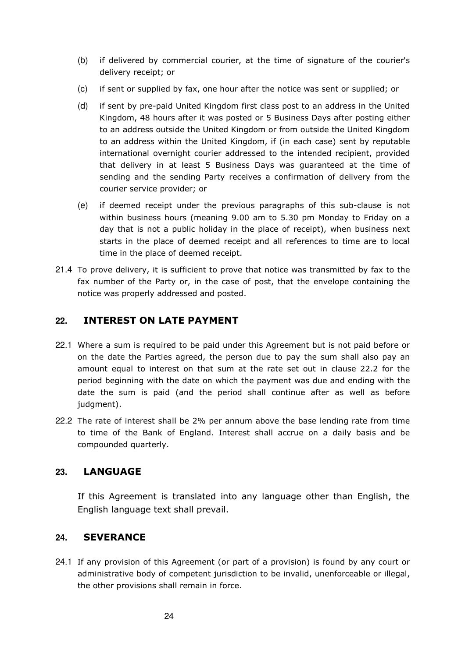- (b) if delivered by commercial courier, at the time of signature of the courier's delivery receipt; or
- (c) if sent or supplied by fax, one hour after the notice was sent or supplied; or
- (d) if sent by pre-paid United Kingdom first class post to an address in the United Kingdom, 48 hours after it was posted or 5 Business Days after posting either to an address outside the United Kingdom or from outside the United Kingdom to an address within the United Kingdom, if (in each case) sent by reputable international overnight courier addressed to the intended recipient, provided that delivery in at least 5 Business Days was guaranteed at the time of sending and the sending Party receives a confirmation of delivery from the courier service provider; or
- (e) if deemed receipt under the previous paragraphs of this sub-clause is not within business hours (meaning 9.00 am to 5.30 pm Monday to Friday on a day that is not a public holiday in the place of receipt), when business next starts in the place of deemed receipt and all references to time are to local time in the place of deemed receipt.
- 21.4 To prove delivery, it is sufficient to prove that notice was transmitted by fax to the fax number of the Party or, in the case of post, that the envelope containing the notice was properly addressed and posted.

#### **22. INTEREST ON LATE PAYMENT**

- 22.1 Where a sum is required to be paid under this Agreement but is not paid before or on the date the Parties agreed, the person due to pay the sum shall also pay an amount equal to interest on that sum at the rate set out in clause 22.2 for the period beginning with the date on which the payment was due and ending with the date the sum is paid (and the period shall continue after as well as before judgment).
- 22.2 The rate of interest shall be 2% per annum above the base lending rate from time to time of the Bank of England. Interest shall accrue on a daily basis and be compounded quarterly.

#### **23. LANGUAGE**

If this Agreement is translated into any language other than English, the English language text shall prevail.

#### **24. SEVERANCE**

24.1 If any provision of this Agreement (or part of a provision) is found by any court or administrative body of competent jurisdiction to be invalid, unenforceable or illegal, the other provisions shall remain in force.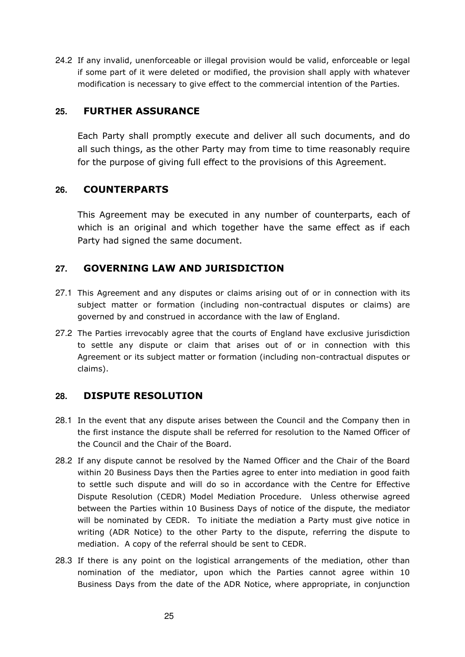24.2 If any invalid, unenforceable or illegal provision would be valid, enforceable or legal if some part of it were deleted or modified, the provision shall apply with whatever modification is necessary to give effect to the commercial intention of the Parties.

#### **25. FURTHER ASSURANCE**

Each Party shall promptly execute and deliver all such documents, and do all such things, as the other Party may from time to time reasonably require for the purpose of giving full effect to the provisions of this Agreement.

#### **26. COUNTERPARTS**

This Agreement may be executed in any number of counterparts, each of which is an original and which together have the same effect as if each Party had signed the same document.

### **27. GOVERNING LAW AND JURISDICTION**

- 27.1 This Agreement and any disputes or claims arising out of or in connection with its subject matter or formation (including non-contractual disputes or claims) are governed by and construed in accordance with the law of England.
- 27.2 The Parties irrevocably agree that the courts of England have exclusive jurisdiction to settle any dispute or claim that arises out of or in connection with this Agreement or its subject matter or formation (including non-contractual disputes or claims).

#### **28. DISPUTE RESOLUTION**

- 28.1 In the event that any dispute arises between the Council and the Company then in the first instance the dispute shall be referred for resolution to the Named Officer of the Council and the Chair of the Board.
- 28.2 If any dispute cannot be resolved by the Named Officer and the Chair of the Board within 20 Business Days then the Parties agree to enter into mediation in good faith to settle such dispute and will do so in accordance with the Centre for Effective Dispute Resolution (CEDR) Model Mediation Procedure. Unless otherwise agreed between the Parties within 10 Business Days of notice of the dispute, the mediator will be nominated by CEDR. To initiate the mediation a Party must give notice in writing (ADR Notice) to the other Party to the dispute, referring the dispute to mediation. A copy of the referral should be sent to CEDR.
- 28.3 If there is any point on the logistical arrangements of the mediation, other than nomination of the mediator, upon which the Parties cannot agree within 10 Business Days from the date of the ADR Notice, where appropriate, in conjunction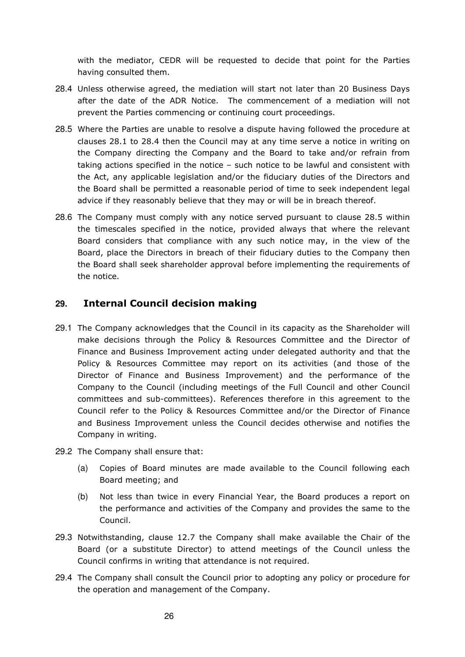with the mediator, CEDR will be requested to decide that point for the Parties having consulted them.

- 28.4 Unless otherwise agreed, the mediation will start not later than 20 Business Days after the date of the ADR Notice. The commencement of a mediation will not prevent the Parties commencing or continuing court proceedings.
- 28.5 Where the Parties are unable to resolve a dispute having followed the procedure at clauses 28.1 to 28.4 then the Council may at any time serve a notice in writing on the Company directing the Company and the Board to take and/or refrain from taking actions specified in the notice – such notice to be lawful and consistent with the Act, any applicable legislation and/or the fiduciary duties of the Directors and the Board shall be permitted a reasonable period of time to seek independent legal advice if they reasonably believe that they may or will be in breach thereof.
- 28.6 The Company must comply with any notice served pursuant to clause 28.5 within the timescales specified in the notice, provided always that where the relevant Board considers that compliance with any such notice may, in the view of the Board, place the Directors in breach of their fiduciary duties to the Company then the Board shall seek shareholder approval before implementing the requirements of the notice.

#### **29. Internal Council decision making**

- 29.1 The Company acknowledges that the Council in its capacity as the Shareholder will make decisions through the Policy & Resources Committee and the Director of Finance and Business Improvement acting under delegated authority and that the Policy & Resources Committee may report on its activities (and those of the Director of Finance and Business Improvement) and the performance of the Company to the Council (including meetings of the Full Council and other Council committees and sub-committees). References therefore in this agreement to the Council refer to the Policy & Resources Committee and/or the Director of Finance and Business Improvement unless the Council decides otherwise and notifies the Company in writing.
- 29.2 The Company shall ensure that:
	- (a) Copies of Board minutes are made available to the Council following each Board meeting; and
	- (b) Not less than twice in every Financial Year, the Board produces a report on the performance and activities of the Company and provides the same to the Council.
- 29.3 Notwithstanding, clause 12.7 the Company shall make available the Chair of the Board (or a substitute Director) to attend meetings of the Council unless the Council confirms in writing that attendance is not required.
- 29.4 The Company shall consult the Council prior to adopting any policy or procedure for the operation and management of the Company.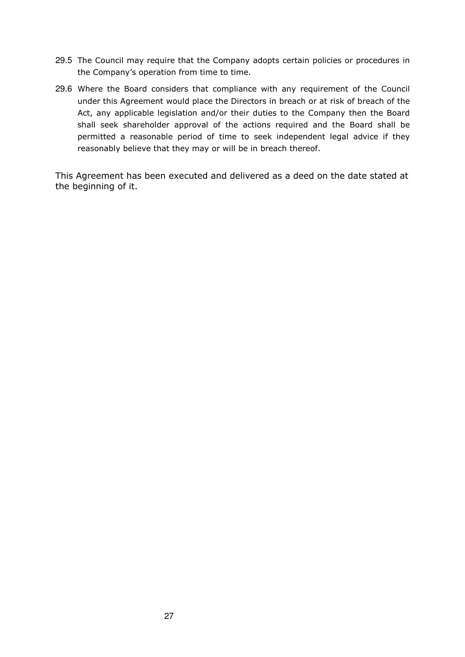- 29.5 The Council may require that the Company adopts certain policies or procedures in the Company's operation from time to time.
- 29.6 Where the Board considers that compliance with any requirement of the Council under this Agreement would place the Directors in breach or at risk of breach of the Act, any applicable legislation and/or their duties to the Company then the Board shall seek shareholder approval of the actions required and the Board shall be permitted a reasonable period of time to seek independent legal advice if they reasonably believe that they may or will be in breach thereof.

This Agreement has been executed and delivered as a deed on the date stated at the beginning of it.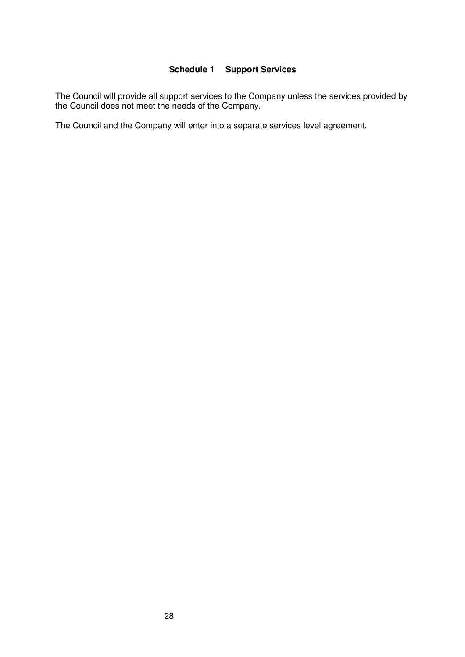#### **Schedule 1 Support Services**

The Council will provide all support services to the Company unless the services provided by the Council does not meet the needs of the Company.

The Council and the Company will enter into a separate services level agreement.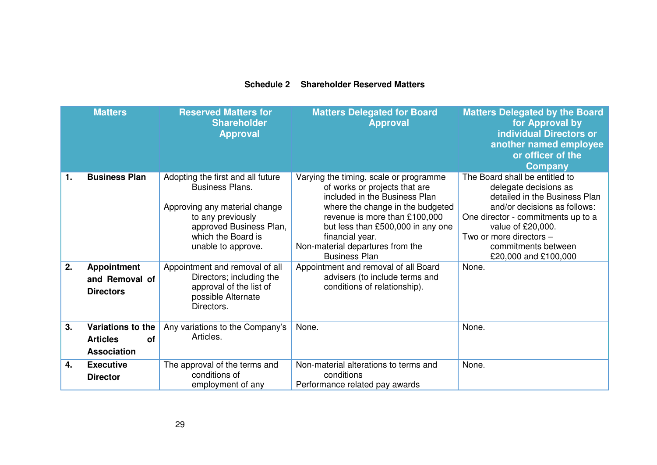#### **Schedule 2 Shareholder Reserved Matters**

|    | <b>Matters</b>                                                          | <b>Reserved Matters for</b><br><b>Shareholder</b><br><b>Approval</b>                                                                                                                     | <b>Matters Delegated for Board</b><br><b>Approval</b>                                                                                                                                                                                                                                             | <b>Matters Delegated by the Board</b><br>for Approval by<br><b>individual Directors or</b><br>another named employee<br>or officer of the<br><b>Company</b>                                                                                                   |
|----|-------------------------------------------------------------------------|------------------------------------------------------------------------------------------------------------------------------------------------------------------------------------------|---------------------------------------------------------------------------------------------------------------------------------------------------------------------------------------------------------------------------------------------------------------------------------------------------|---------------------------------------------------------------------------------------------------------------------------------------------------------------------------------------------------------------------------------------------------------------|
| 1. | <b>Business Plan</b>                                                    | Adopting the first and all future<br><b>Business Plans.</b><br>Approving any material change<br>to any previously<br>approved Business Plan,<br>which the Board is<br>unable to approve. | Varying the timing, scale or programme<br>of works or projects that are<br>included in the Business Plan<br>where the change in the budgeted<br>revenue is more than £100,000<br>but less than £500,000 in any one<br>financial year.<br>Non-material departures from the<br><b>Business Plan</b> | The Board shall be entitled to<br>delegate decisions as<br>detailed in the Business Plan<br>and/or decisions as follows:<br>One director - commitments up to a<br>value of £20,000.<br>Two or more directors -<br>commitments between<br>£20,000 and £100,000 |
| 2. | <b>Appointment</b><br>and Removal of<br><b>Directors</b>                | Appointment and removal of all<br>Directors; including the<br>approval of the list of<br>possible Alternate<br>Directors.                                                                | Appointment and removal of all Board<br>advisers (to include terms and<br>conditions of relationship).                                                                                                                                                                                            | None.                                                                                                                                                                                                                                                         |
| 3. | Variations to the<br><b>Articles</b><br><b>of</b><br><b>Association</b> | Any variations to the Company's<br>Articles.                                                                                                                                             | None.                                                                                                                                                                                                                                                                                             | None.                                                                                                                                                                                                                                                         |
| 4. | <b>Executive</b><br><b>Director</b>                                     | The approval of the terms and<br>conditions of<br>employment of any                                                                                                                      | Non-material alterations to terms and<br>conditions<br>Performance related pay awards                                                                                                                                                                                                             | None.                                                                                                                                                                                                                                                         |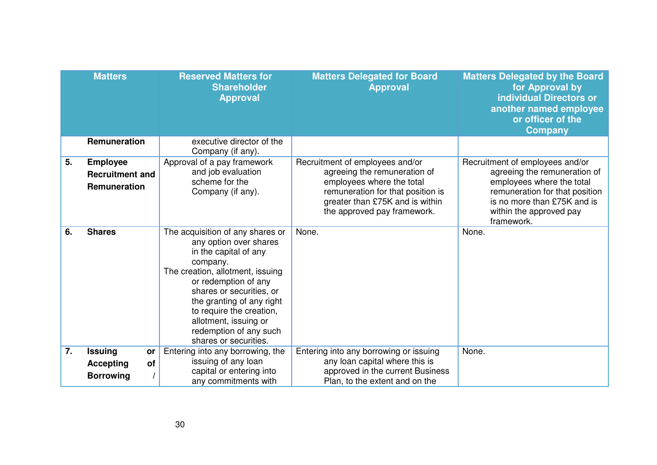|    | <b>Matters</b>                                                     | <b>Reserved Matters for</b><br><b>Shareholder</b><br><b>Approval</b>                                                                                                                                                                                                                                                         | <b>Matters Delegated for Board</b><br><b>Approval</b>                                                                                                                                               | <b>Matters Delegated by the Board</b><br>for Approval by<br><b>individual Directors or</b><br>another named employee<br>or officer of the<br><b>Company</b>                                            |
|----|--------------------------------------------------------------------|------------------------------------------------------------------------------------------------------------------------------------------------------------------------------------------------------------------------------------------------------------------------------------------------------------------------------|-----------------------------------------------------------------------------------------------------------------------------------------------------------------------------------------------------|--------------------------------------------------------------------------------------------------------------------------------------------------------------------------------------------------------|
|    | Remuneration                                                       | executive director of the<br>Company (if any).                                                                                                                                                                                                                                                                               |                                                                                                                                                                                                     |                                                                                                                                                                                                        |
| 5. | <b>Employee</b><br><b>Recruitment and</b><br>Remuneration          | Approval of a pay framework<br>and job evaluation<br>scheme for the<br>Company (if any).                                                                                                                                                                                                                                     | Recruitment of employees and/or<br>agreeing the remuneration of<br>employees where the total<br>remuneration for that position is<br>greater than £75K and is within<br>the approved pay framework. | Recruitment of employees and/or<br>agreeing the remuneration of<br>employees where the total<br>remuneration for that position<br>is no more than £75K and is<br>within the approved pay<br>framework. |
| 6. | <b>Shares</b>                                                      | The acquisition of any shares or<br>any option over shares<br>in the capital of any<br>company.<br>The creation, allotment, issuing<br>or redemption of any<br>shares or securities, or<br>the granting of any right<br>to require the creation,<br>allotment, issuing or<br>redemption of any such<br>shares or securities. | None.                                                                                                                                                                                               | None.                                                                                                                                                                                                  |
| 7. | <b>Issuing</b><br>or<br>of<br><b>Accepting</b><br><b>Borrowing</b> | Entering into any borrowing, the<br>issuing of any loan<br>capital or entering into<br>any commitments with                                                                                                                                                                                                                  | Entering into any borrowing or issuing<br>any loan capital where this is<br>approved in the current Business<br>Plan, to the extent and on the                                                      | None.                                                                                                                                                                                                  |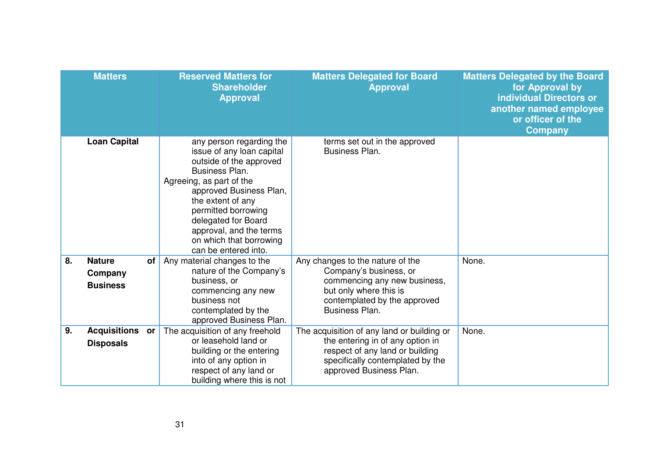|    | <b>Matters</b>                              |    | <b>Reserved Matters for</b><br><b>Shareholder</b><br><b>Approval</b>                                                                                                                                                                                                                                       | <b>Matters Delegated for Board</b><br><b>Approval</b>                                                                                                                            | <b>Matters Delegated by the Board</b><br>for Approval by<br><b>individual Directors or</b><br>another named employee<br>or officer of the<br><b>Company</b> |
|----|---------------------------------------------|----|------------------------------------------------------------------------------------------------------------------------------------------------------------------------------------------------------------------------------------------------------------------------------------------------------------|----------------------------------------------------------------------------------------------------------------------------------------------------------------------------------|-------------------------------------------------------------------------------------------------------------------------------------------------------------|
|    | <b>Loan Capital</b>                         |    | any person regarding the<br>issue of any loan capital<br>outside of the approved<br>Business Plan.<br>Agreeing, as part of the<br>approved Business Plan,<br>the extent of any<br>permitted borrowing<br>delegated for Board<br>approval, and the terms<br>on which that borrowing<br>can be entered into. | terms set out in the approved<br>Business Plan.                                                                                                                                  |                                                                                                                                                             |
| 8. | <b>Nature</b><br>Company<br><b>Business</b> | of | Any material changes to the<br>nature of the Company's<br>business, or<br>commencing any new<br>business not<br>contemplated by the<br>approved Business Plan.                                                                                                                                             | Any changes to the nature of the<br>Company's business, or<br>commencing any new business,<br>but only where this is<br>contemplated by the approved<br>Business Plan.           | None.                                                                                                                                                       |
| 9. | <b>Acquisitions</b><br><b>Disposals</b>     | or | The acquisition of any freehold<br>or leasehold land or<br>building or the entering<br>into of any option in<br>respect of any land or<br>building where this is not                                                                                                                                       | The acquisition of any land or building or<br>the entering in of any option in<br>respect of any land or building<br>specifically contemplated by the<br>approved Business Plan. | None.                                                                                                                                                       |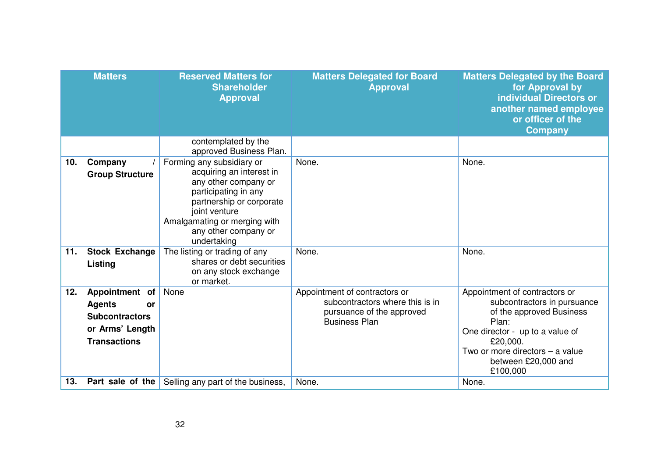|     | <b>Matters</b>                                                                                           | <b>Reserved Matters for</b><br><b>Shareholder</b><br><b>Approval</b>                                                                                                                                                      | <b>Matters Delegated for Board</b><br><b>Approval</b>                                                                 | <b>Matters Delegated by the Board</b><br>for Approval by<br><b>individual Directors or</b><br>another named employee<br>or officer of the<br><b>Company</b>                                                            |
|-----|----------------------------------------------------------------------------------------------------------|---------------------------------------------------------------------------------------------------------------------------------------------------------------------------------------------------------------------------|-----------------------------------------------------------------------------------------------------------------------|------------------------------------------------------------------------------------------------------------------------------------------------------------------------------------------------------------------------|
|     |                                                                                                          | contemplated by the<br>approved Business Plan.                                                                                                                                                                            |                                                                                                                       |                                                                                                                                                                                                                        |
| 10. | Company<br><b>Group Structure</b>                                                                        | Forming any subsidiary or<br>acquiring an interest in<br>any other company or<br>participating in any<br>partnership or corporate<br>joint venture<br>Amalgamating or merging with<br>any other company or<br>undertaking | None.                                                                                                                 | None.                                                                                                                                                                                                                  |
| 11. | <b>Stock Exchange</b><br>Listing                                                                         | The listing or trading of any<br>shares or debt securities<br>on any stock exchange<br>or market.                                                                                                                         | None.                                                                                                                 | None.                                                                                                                                                                                                                  |
| 12. | Appointment of<br><b>Agents</b><br>or<br><b>Subcontractors</b><br>or Arms' Length<br><b>Transactions</b> | None                                                                                                                                                                                                                      | Appointment of contractors or<br>subcontractors where this is in<br>pursuance of the approved<br><b>Business Plan</b> | Appointment of contractors or<br>subcontractors in pursuance<br>of the approved Business<br>Plan:<br>One director - up to a value of<br>£20,000.<br>Two or more directors - a value<br>between £20,000 and<br>£100,000 |
| 13. |                                                                                                          | <b>Part sale of the   Selling any part of the business,</b>                                                                                                                                                               | None.                                                                                                                 | None.                                                                                                                                                                                                                  |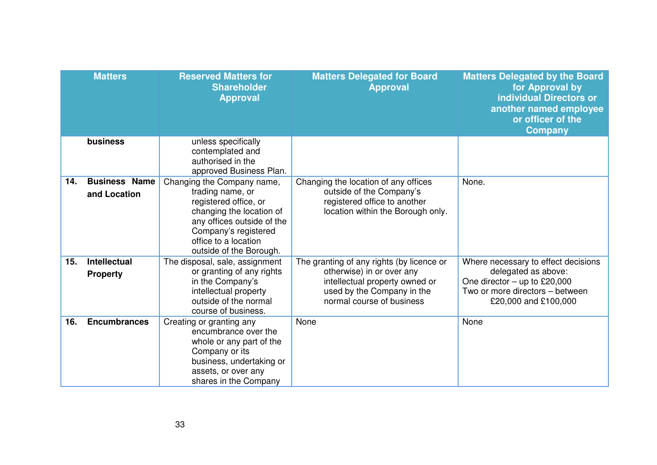|     | <b>Matters</b>                         | <b>Reserved Matters for</b><br><b>Shareholder</b><br><b>Approval</b>                                                                                                                                         | <b>Matters Delegated for Board</b><br><b>Approval</b>                                                                                                               | <b>Matters Delegated by the Board</b><br>for Approval by<br><b>individual Directors or</b><br>another named employee<br>or officer of the<br><b>Company</b> |
|-----|----------------------------------------|--------------------------------------------------------------------------------------------------------------------------------------------------------------------------------------------------------------|---------------------------------------------------------------------------------------------------------------------------------------------------------------------|-------------------------------------------------------------------------------------------------------------------------------------------------------------|
|     | business                               | unless specifically<br>contemplated and<br>authorised in the<br>approved Business Plan.                                                                                                                      |                                                                                                                                                                     |                                                                                                                                                             |
| 14. | <b>Business Name</b><br>and Location   | Changing the Company name,<br>trading name, or<br>registered office, or<br>changing the location of<br>any offices outside of the<br>Company's registered<br>office to a location<br>outside of the Borough. | Changing the location of any offices<br>outside of the Company's<br>registered office to another<br>location within the Borough only.                               | None.                                                                                                                                                       |
| 15. | <b>Intellectual</b><br><b>Property</b> | The disposal, sale, assignment<br>or granting of any rights<br>in the Company's<br>intellectual property<br>outside of the normal<br>course of business.                                                     | The granting of any rights (by licence or<br>otherwise) in or over any<br>intellectual property owned or<br>used by the Company in the<br>normal course of business | Where necessary to effect decisions<br>delegated as above:<br>One director $-$ up to £20,000<br>Two or more directors - between<br>£20,000 and £100,000     |
| 16. | <b>Encumbrances</b>                    | Creating or granting any<br>encumbrance over the<br>whole or any part of the<br>Company or its<br>business, undertaking or<br>assets, or over any<br>shares in the Company                                   | None                                                                                                                                                                | None                                                                                                                                                        |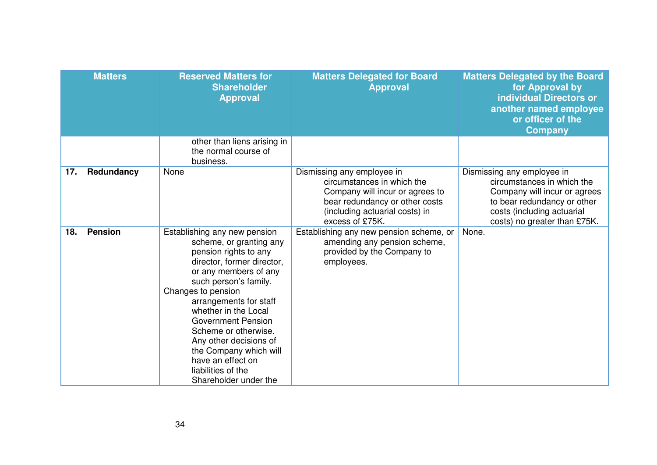|     | <b>Matters</b> | <b>Reserved Matters for</b><br><b>Shareholder</b><br><b>Approval</b>                                                                                                                                                                                                                                                                                                                                                  | <b>Matters Delegated for Board</b><br><b>Approval</b>                                                                                                                              | <b>Matters Delegated by the Board</b><br>for Approval by<br><b>individual Directors or</b><br>another named employee<br>or officer of the<br><b>Company</b>                           |
|-----|----------------|-----------------------------------------------------------------------------------------------------------------------------------------------------------------------------------------------------------------------------------------------------------------------------------------------------------------------------------------------------------------------------------------------------------------------|------------------------------------------------------------------------------------------------------------------------------------------------------------------------------------|---------------------------------------------------------------------------------------------------------------------------------------------------------------------------------------|
|     |                | other than liens arising in<br>the normal course of<br>business.                                                                                                                                                                                                                                                                                                                                                      |                                                                                                                                                                                    |                                                                                                                                                                                       |
| 17. | Redundancy     | None                                                                                                                                                                                                                                                                                                                                                                                                                  | Dismissing any employee in<br>circumstances in which the<br>Company will incur or agrees to<br>bear redundancy or other costs<br>(including actuarial costs) in<br>excess of £75K. | Dismissing any employee in<br>circumstances in which the<br>Company will incur or agrees<br>to bear redundancy or other<br>costs (including actuarial<br>costs) no greater than £75K. |
| 18. | <b>Pension</b> | Establishing any new pension<br>scheme, or granting any<br>pension rights to any<br>director, former director,<br>or any members of any<br>such person's family.<br>Changes to pension<br>arrangements for staff<br>whether in the Local<br><b>Government Pension</b><br>Scheme or otherwise.<br>Any other decisions of<br>the Company which will<br>have an effect on<br>liabilities of the<br>Shareholder under the | Establishing any new pension scheme, or<br>amending any pension scheme,<br>provided by the Company to<br>employees.                                                                | None.                                                                                                                                                                                 |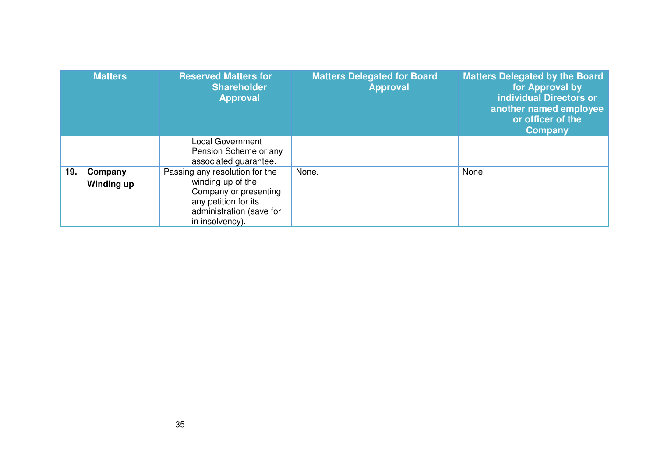|     | <b>Matters</b>        | <b>Reserved Matters for</b><br><b>Shareholder</b><br><b>Approval</b>                                                                                | <b>Matters Delegated for Board</b><br><b>Approval</b> | <b>Matters Delegated by the Board</b><br>for Approval by<br><b>individual Directors or</b><br>another named employee<br>or officer of the<br><b>Company</b> |
|-----|-----------------------|-----------------------------------------------------------------------------------------------------------------------------------------------------|-------------------------------------------------------|-------------------------------------------------------------------------------------------------------------------------------------------------------------|
|     |                       | <b>Local Government</b><br>Pension Scheme or any<br>associated guarantee.                                                                           |                                                       |                                                                                                                                                             |
| 19. | Company<br>Winding up | Passing any resolution for the<br>winding up of the<br>Company or presenting<br>any petition for its<br>administration (save for<br>in insolvency). | None.                                                 | None.                                                                                                                                                       |